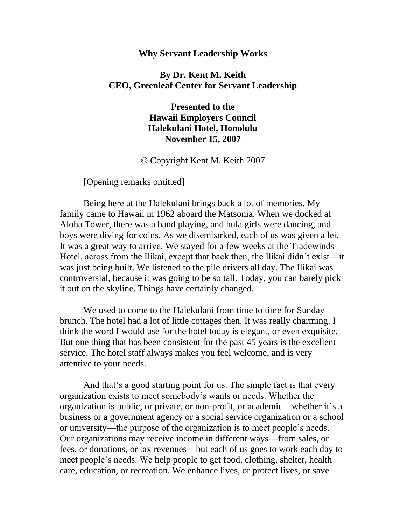#### **Why Servant Leadership Works**

## **By Dr. Kent M. Keith CEO, Greenleaf Center for Servant Leadership**

**Presented to the Hawaii Employers Council Halekulani Hotel, Honolulu November 15, 2007**

© Copyright Kent M. Keith 2007

[Opening remarks omitted]

Being here at the Halekulani brings back a lot of memories. My family came to Hawaii in 1962 aboard the Matsonia. When we docked at Aloha Tower, there was a band playing, and hula girls were dancing, and boys were diving for coins. As we disembarked, each of us was given a lei. It was a great way to arrive. We stayed for a few weeks at the Tradewinds Hotel, across from the Ilikai, except that back then, the Ilikai didn't exist—it was just being built. We listened to the pile drivers all day. The Ilikai was controversial, because it was going to be so tall. Today, you can barely pick it out on the skyline. Things have certainly changed.

We used to come to the Halekulani from time to time for Sunday brunch. The hotel had a lot of little cottages then. It was really charming. I think the word I would use for the hotel today is elegant, or even exquisite. But one thing that has been consistent for the past 45 years is the excellent service. The hotel staff always makes you feel welcome, and is very attentive to your needs.

And that's a good starting point for us. The simple fact is that every organization exists to meet somebody's wants or needs. Whether the organization is public, or private, or non-profit, or academic—whether it's a business or a government agency or a social service organization or a school or university—the purpose of the organization is to meet people's needs. Our organizations may receive income in different ways—from sales, or fees, or donations, or tax revenues—but each of us goes to work each day to meet people's needs. We help people to get food, clothing, shelter, health care, education, or recreation. We enhance lives, or protect lives, or save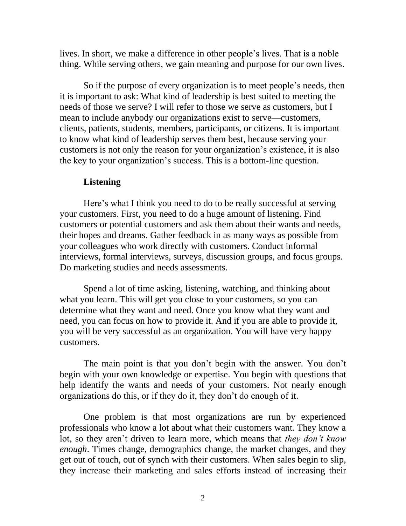lives. In short, we make a difference in other people's lives. That is a noble thing. While serving others, we gain meaning and purpose for our own lives.

So if the purpose of every organization is to meet people's needs, then it is important to ask: What kind of leadership is best suited to meeting the needs of those we serve? I will refer to those we serve as customers, but I mean to include anybody our organizations exist to serve—customers, clients, patients, students, members, participants, or citizens. It is important to know what kind of leadership serves them best, because serving your customers is not only the reason for your organization's existence, it is also the key to your organization's success. This is a bottom-line question.

### **Listening**

Here's what I think you need to do to be really successful at serving your customers. First, you need to do a huge amount of listening. Find customers or potential customers and ask them about their wants and needs, their hopes and dreams. Gather feedback in as many ways as possible from your colleagues who work directly with customers. Conduct informal interviews, formal interviews, surveys, discussion groups, and focus groups. Do marketing studies and needs assessments.

Spend a lot of time asking, listening, watching, and thinking about what you learn. This will get you close to your customers, so you can determine what they want and need. Once you know what they want and need, you can focus on how to provide it. And if you are able to provide it, you will be very successful as an organization. You will have very happy customers.

The main point is that you don't begin with the answer. You don't begin with your own knowledge or expertise. You begin with questions that help identify the wants and needs of your customers. Not nearly enough organizations do this, or if they do it, they don't do enough of it.

One problem is that most organizations are run by experienced professionals who know a lot about what their customers want. They know a lot, so they aren't driven to learn more, which means that *they don't know enough*. Times change, demographics change, the market changes, and they get out of touch, out of synch with their customers. When sales begin to slip, they increase their marketing and sales efforts instead of increasing their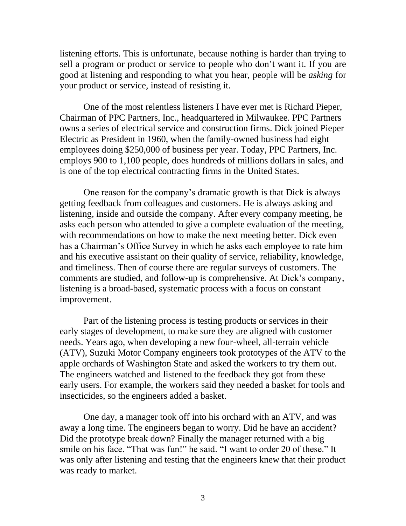listening efforts. This is unfortunate, because nothing is harder than trying to sell a program or product or service to people who don't want it. If you are good at listening and responding to what you hear, people will be *asking* for your product or service, instead of resisting it.

One of the most relentless listeners I have ever met is Richard Pieper, Chairman of PPC Partners, Inc., headquartered in Milwaukee. PPC Partners owns a series of electrical service and construction firms. Dick joined Pieper Electric as President in 1960, when the family-owned business had eight employees doing \$250,000 of business per year. Today, PPC Partners, Inc. employs 900 to 1,100 people, does hundreds of millions dollars in sales, and is one of the top electrical contracting firms in the United States.

One reason for the company's dramatic growth is that Dick is always getting feedback from colleagues and customers. He is always asking and listening, inside and outside the company. After every company meeting, he asks each person who attended to give a complete evaluation of the meeting, with recommendations on how to make the next meeting better. Dick even has a Chairman's Office Survey in which he asks each employee to rate him and his executive assistant on their quality of service, reliability, knowledge, and timeliness. Then of course there are regular surveys of customers. The comments are studied, and follow-up is comprehensive. At Dick's company, listening is a broad-based, systematic process with a focus on constant improvement.

Part of the listening process is testing products or services in their early stages of development, to make sure they are aligned with customer needs. Years ago, when developing a new four-wheel, all-terrain vehicle (ATV), Suzuki Motor Company engineers took prototypes of the ATV to the apple orchards of Washington State and asked the workers to try them out. The engineers watched and listened to the feedback they got from these early users. For example, the workers said they needed a basket for tools and insecticides, so the engineers added a basket.

One day, a manager took off into his orchard with an ATV, and was away a long time. The engineers began to worry. Did he have an accident? Did the prototype break down? Finally the manager returned with a big smile on his face. "That was fun!" he said. "I want to order 20 of these." It was only after listening and testing that the engineers knew that their product was ready to market.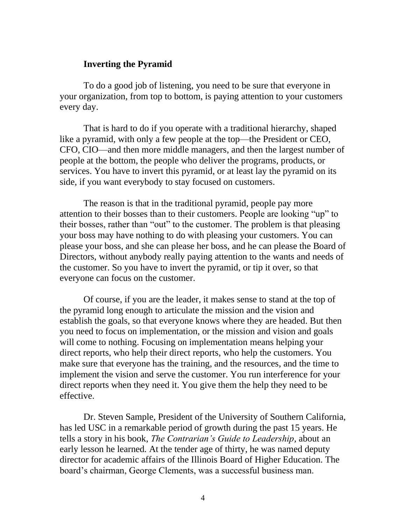### **Inverting the Pyramid**

To do a good job of listening, you need to be sure that everyone in your organization, from top to bottom, is paying attention to your customers every day.

That is hard to do if you operate with a traditional hierarchy, shaped like a pyramid, with only a few people at the top—the President or CEO, CFO, CIO—and then more middle managers, and then the largest number of people at the bottom, the people who deliver the programs, products, or services. You have to invert this pyramid, or at least lay the pyramid on its side, if you want everybody to stay focused on customers.

The reason is that in the traditional pyramid, people pay more attention to their bosses than to their customers. People are looking "up" to their bosses, rather than "out" to the customer. The problem is that pleasing your boss may have nothing to do with pleasing your customers. You can please your boss, and she can please her boss, and he can please the Board of Directors, without anybody really paying attention to the wants and needs of the customer. So you have to invert the pyramid, or tip it over, so that everyone can focus on the customer.

Of course, if you are the leader, it makes sense to stand at the top of the pyramid long enough to articulate the mission and the vision and establish the goals, so that everyone knows where they are headed. But then you need to focus on implementation, or the mission and vision and goals will come to nothing. Focusing on implementation means helping your direct reports, who help their direct reports, who help the customers. You make sure that everyone has the training, and the resources, and the time to implement the vision and serve the customer. You run interference for your direct reports when they need it. You give them the help they need to be effective.

Dr. Steven Sample, President of the University of Southern California, has led USC in a remarkable period of growth during the past 15 years. He tells a story in his book, *The Contrarian's Guide to Leadership,* about an early lesson he learned*.* At the tender age of thirty, he was named deputy director for academic affairs of the Illinois Board of Higher Education. The board's chairman, George Clements, was a successful business man.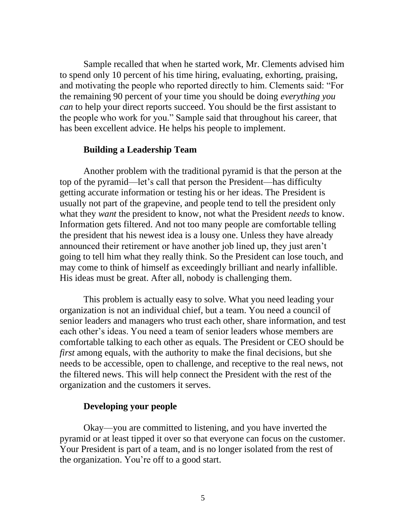Sample recalled that when he started work, Mr. Clements advised him to spend only 10 percent of his time hiring, evaluating, exhorting, praising, and motivating the people who reported directly to him. Clements said: "For the remaining 90 percent of your time you should be doing *everything you can* to help your direct reports succeed. You should be the first assistant to the people who work for you." Sample said that throughout his career, that has been excellent advice. He helps his people to implement.

### **Building a Leadership Team**

Another problem with the traditional pyramid is that the person at the top of the pyramid—let's call that person the President—has difficulty getting accurate information or testing his or her ideas. The President is usually not part of the grapevine, and people tend to tell the president only what they *want* the president to know, not what the President *needs* to know. Information gets filtered. And not too many people are comfortable telling the president that his newest idea is a lousy one. Unless they have already announced their retirement or have another job lined up, they just aren't going to tell him what they really think. So the President can lose touch, and may come to think of himself as exceedingly brilliant and nearly infallible. His ideas must be great. After all, nobody is challenging them.

This problem is actually easy to solve. What you need leading your organization is not an individual chief, but a team. You need a council of senior leaders and managers who trust each other, share information, and test each other's ideas. You need a team of senior leaders whose members are comfortable talking to each other as equals. The President or CEO should be *first* among equals, with the authority to make the final decisions, but she needs to be accessible, open to challenge, and receptive to the real news, not the filtered news. This will help connect the President with the rest of the organization and the customers it serves.

# **Developing your people**

Okay—you are committed to listening, and you have inverted the pyramid or at least tipped it over so that everyone can focus on the customer. Your President is part of a team, and is no longer isolated from the rest of the organization. You're off to a good start.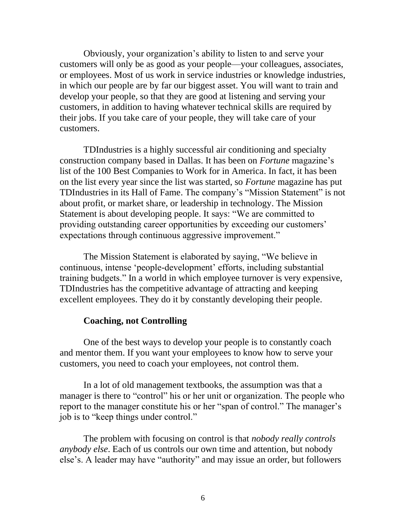Obviously, your organization's ability to listen to and serve your customers will only be as good as your people—your colleagues, associates, or employees. Most of us work in service industries or knowledge industries, in which our people are by far our biggest asset. You will want to train and develop your people, so that they are good at listening and serving your customers, in addition to having whatever technical skills are required by their jobs. If you take care of your people, they will take care of your customers.

TDIndustries is a highly successful air conditioning and specialty construction company based in Dallas. It has been on *Fortune* magazine's list of the 100 Best Companies to Work for in America. In fact, it has been on the list every year since the list was started, so *Fortune* magazine has put TDIndustries in its Hall of Fame. The company's "Mission Statement" is not about profit, or market share, or leadership in technology. The Mission Statement is about developing people. It says: "We are committed to providing outstanding career opportunities by exceeding our customers' expectations through continuous aggressive improvement."

The Mission Statement is elaborated by saying, "We believe in continuous, intense 'people-development' efforts, including substantial training budgets." In a world in which employee turnover is very expensive, TDIndustries has the competitive advantage of attracting and keeping excellent employees. They do it by constantly developing their people.

### **Coaching, not Controlling**

One of the best ways to develop your people is to constantly coach and mentor them. If you want your employees to know how to serve your customers, you need to coach your employees, not control them.

In a lot of old management textbooks, the assumption was that a manager is there to "control" his or her unit or organization. The people who report to the manager constitute his or her "span of control." The manager's job is to "keep things under control."

The problem with focusing on control is that *nobody really controls anybody else*. Each of us controls our own time and attention, but nobody else's. A leader may have "authority" and may issue an order, but followers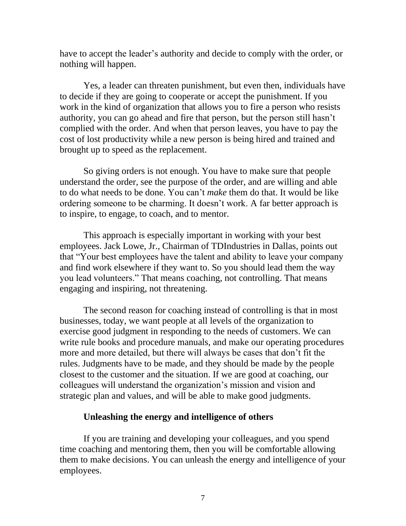have to accept the leader's authority and decide to comply with the order, or nothing will happen.

Yes, a leader can threaten punishment, but even then, individuals have to decide if they are going to cooperate or accept the punishment. If you work in the kind of organization that allows you to fire a person who resists authority, you can go ahead and fire that person, but the person still hasn't complied with the order. And when that person leaves, you have to pay the cost of lost productivity while a new person is being hired and trained and brought up to speed as the replacement.

So giving orders is not enough. You have to make sure that people understand the order, see the purpose of the order, and are willing and able to do what needs to be done. You can't *make* them do that. It would be like ordering someone to be charming. It doesn't work. A far better approach is to inspire, to engage, to coach, and to mentor.

This approach is especially important in working with your best employees. Jack Lowe, Jr., Chairman of TDIndustries in Dallas, points out that "Your best employees have the talent and ability to leave your company and find work elsewhere if they want to. So you should lead them the way you lead volunteers." That means coaching, not controlling. That means engaging and inspiring, not threatening.

The second reason for coaching instead of controlling is that in most businesses, today, we want people at all levels of the organization to exercise good judgment in responding to the needs of customers. We can write rule books and procedure manuals, and make our operating procedures more and more detailed, but there will always be cases that don't fit the rules. Judgments have to be made, and they should be made by the people closest to the customer and the situation. If we are good at coaching, our colleagues will understand the organization's mission and vision and strategic plan and values, and will be able to make good judgments.

## **Unleashing the energy and intelligence of others**

If you are training and developing your colleagues, and you spend time coaching and mentoring them, then you will be comfortable allowing them to make decisions. You can unleash the energy and intelligence of your employees.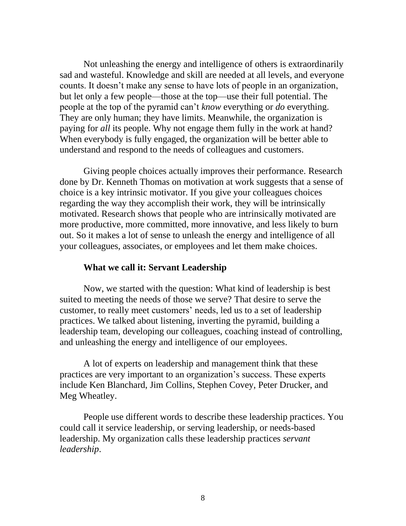Not unleashing the energy and intelligence of others is extraordinarily sad and wasteful. Knowledge and skill are needed at all levels, and everyone counts. It doesn't make any sense to have lots of people in an organization, but let only a few people—those at the top—use their full potential. The people at the top of the pyramid can't *know* everything or *do* everything. They are only human; they have limits. Meanwhile, the organization is paying for *all* its people. Why not engage them fully in the work at hand? When everybody is fully engaged, the organization will be better able to understand and respond to the needs of colleagues and customers.

Giving people choices actually improves their performance. Research done by Dr. Kenneth Thomas on motivation at work suggests that a sense of choice is a key intrinsic motivator. If you give your colleagues choices regarding the way they accomplish their work, they will be intrinsically motivated. Research shows that people who are intrinsically motivated are more productive, more committed, more innovative, and less likely to burn out. So it makes a lot of sense to unleash the energy and intelligence of all your colleagues, associates, or employees and let them make choices.

# **What we call it: Servant Leadership**

Now, we started with the question: What kind of leadership is best suited to meeting the needs of those we serve? That desire to serve the customer, to really meet customers' needs, led us to a set of leadership practices. We talked about listening, inverting the pyramid, building a leadership team, developing our colleagues, coaching instead of controlling, and unleashing the energy and intelligence of our employees.

A lot of experts on leadership and management think that these practices are very important to an organization's success. These experts include Ken Blanchard, Jim Collins, Stephen Covey, Peter Drucker, and Meg Wheatley.

People use different words to describe these leadership practices. You could call it service leadership, or serving leadership, or needs-based leadership. My organization calls these leadership practices *servant leadership*.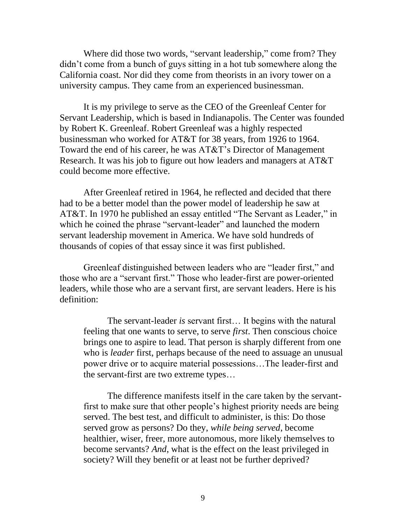Where did those two words, "servant leadership," come from? They didn't come from a bunch of guys sitting in a hot tub somewhere along the California coast. Nor did they come from theorists in an ivory tower on a university campus. They came from an experienced businessman.

It is my privilege to serve as the CEO of the Greenleaf Center for Servant Leadership, which is based in Indianapolis. The Center was founded by Robert K. Greenleaf. Robert Greenleaf was a highly respected businessman who worked for AT&T for 38 years, from 1926 to 1964. Toward the end of his career, he was AT&T's Director of Management Research. It was his job to figure out how leaders and managers at AT&T could become more effective.

After Greenleaf retired in 1964, he reflected and decided that there had to be a better model than the power model of leadership he saw at AT&T. In 1970 he published an essay entitled "The Servant as Leader," in which he coined the phrase "servant-leader" and launched the modern servant leadership movement in America. We have sold hundreds of thousands of copies of that essay since it was first published.

Greenleaf distinguished between leaders who are "leader first," and those who are a "servant first." Those who leader-first are power-oriented leaders, while those who are a servant first, are servant leaders. Here is his definition:

The servant-leader *is* servant first… It begins with the natural feeling that one wants to serve, to serve *first*. Then conscious choice brings one to aspire to lead. That person is sharply different from one who is *leader* first, perhaps because of the need to assuage an unusual power drive or to acquire material possessions…The leader-first and the servant-first are two extreme types…

The difference manifests itself in the care taken by the servantfirst to make sure that other people's highest priority needs are being served. The best test, and difficult to administer, is this: Do those served grow as persons? Do they, *while being served*, become healthier, wiser, freer, more autonomous, more likely themselves to become servants? *And*, what is the effect on the least privileged in society? Will they benefit or at least not be further deprived?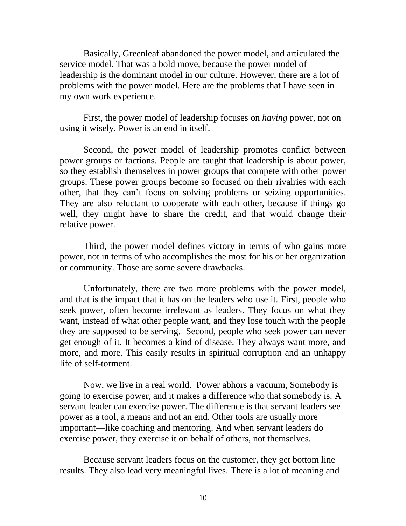Basically, Greenleaf abandoned the power model, and articulated the service model. That was a bold move, because the power model of leadership is the dominant model in our culture. However, there are a lot of problems with the power model. Here are the problems that I have seen in my own work experience.

First, the power model of leadership focuses on *having* power, not on using it wisely. Power is an end in itself.

Second, the power model of leadership promotes conflict between power groups or factions. People are taught that leadership is about power, so they establish themselves in power groups that compete with other power groups. These power groups become so focused on their rivalries with each other, that they can't focus on solving problems or seizing opportunities. They are also reluctant to cooperate with each other, because if things go well, they might have to share the credit, and that would change their relative power.

Third, the power model defines victory in terms of who gains more power, not in terms of who accomplishes the most for his or her organization or community. Those are some severe drawbacks.

Unfortunately, there are two more problems with the power model, and that is the impact that it has on the leaders who use it. First, people who seek power, often become irrelevant as leaders. They focus on what they want, instead of what other people want, and they lose touch with the people they are supposed to be serving. Second, people who seek power can never get enough of it. It becomes a kind of disease. They always want more, and more, and more. This easily results in spiritual corruption and an unhappy life of self-torment.

Now, we live in a real world. Power abhors a vacuum, Somebody is going to exercise power, and it makes a difference who that somebody is. A servant leader can exercise power. The difference is that servant leaders see power as a tool, a means and not an end. Other tools are usually more important—like coaching and mentoring. And when servant leaders do exercise power, they exercise it on behalf of others, not themselves.

Because servant leaders focus on the customer, they get bottom line results. They also lead very meaningful lives. There is a lot of meaning and